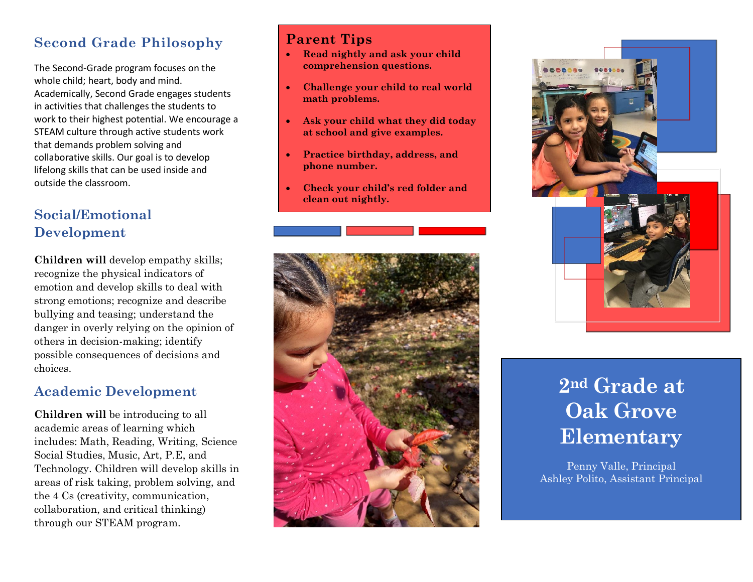## **Second Grade Philosophy**

The Second-Grade program focuses on the whole child; heart, body and mind. Academically, Second Grade engages students in activities that challenges the students to work to their highest potential. We encourage a STEAM culture through active students work that demands problem solving and collaborative skills. Our goal is to develop lifelong skills that can be used inside and outside the classroom.

# **Social/Emotional Development**

**Children will** develop empathy skills; recognize the physical indicators of emotion and develop skills to deal with strong emotions; recognize and describe bullying and teasing; understand the danger in overly relying on the opinion of others in decision-making; identify possible consequences of decisions and choices.

### **Academic Development**

**Children will** be introducing to all academic areas of learning which includes: Math, Reading, Writing, Science Social Studies, Music, Art, P.E, and Technology. Children will develop skills in areas of risk taking, problem solving, and the 4 Cs (creativity, communication, collaboration, and critical thinking) through our STEAM program.

### **Parent Tips**

•

- **Read nightly and ask your child comprehension questions.**
- **Challenge your child to real world math problems.**
- **Ask your child what they did today at school and give examples.**
- **Practice birthday, address, and phone number.**
- **Check your child's red folder and clean out nightly.**





# **2nd Grade at Oak Grove Elementary**

Penny Valle, Principal Ashley Polito, Assistant Principal